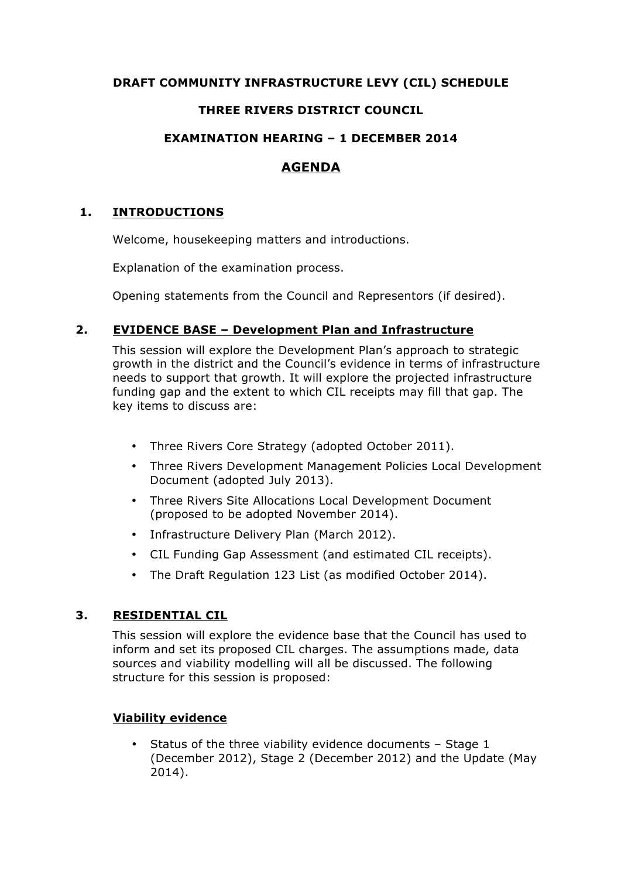# **DRAFT COMMUNITY INFRASTRUCTURE LEVY (CIL) SCHEDULE**

# **THREE RIVERS DISTRICT COUNCIL**

# **EXAMINATION HEARING – 1 DECEMBER 2014**

# **AGENDA**

# **1. INTRODUCTIONS**

Welcome, housekeeping matters and introductions.

Explanation of the examination process.

Opening statements from the Council and Representors (if desired).

# **2. EVIDENCE BASE – Development Plan and Infrastructure**

This session will explore the Development Plan's approach to strategic growth in the district and the Council's evidence in terms of infrastructure needs to support that growth. It will explore the projected infrastructure funding gap and the extent to which CIL receipts may fill that gap. The key items to discuss are:

- Three Rivers Core Strategy (adopted October 2011).
- Three Rivers Development Management Policies Local Development Document (adopted July 2013).
- Three Rivers Site Allocations Local Development Document (proposed to be adopted November 2014).
- Infrastructure Delivery Plan (March 2012).
- CIL Funding Gap Assessment (and estimated CIL receipts).
- The Draft Regulation 123 List (as modified October 2014).

# **3. RESIDENTIAL CIL**

This session will explore the evidence base that the Council has used to inform and set its proposed CIL charges. The assumptions made, data sources and viability modelling will all be discussed. The following structure for this session is proposed:

# **Viability evidence**

• Status of the three viability evidence documents – Stage 1 (December 2012), Stage 2 (December 2012) and the Update (May 2014).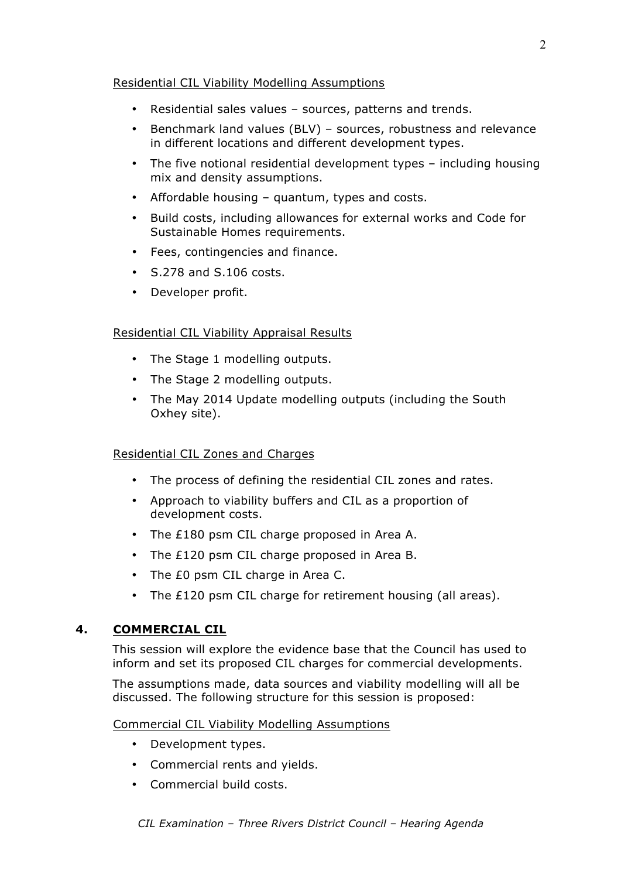### Residential CIL Viability Modelling Assumptions

- Residential sales values sources, patterns and trends.
- Benchmark land values (BLV) sources, robustness and relevance in different locations and different development types.
- The five notional residential development types including housing mix and density assumptions.
- Affordable housing quantum, types and costs.
- Build costs, including allowances for external works and Code for Sustainable Homes requirements.
- Fees, contingencies and finance.
- S.278 and S.106 costs.
- Developer profit.

#### Residential CIL Viability Appraisal Results

- The Stage 1 modelling outputs.
- The Stage 2 modelling outputs.
- The May 2014 Update modelling outputs (including the South Oxhey site).

#### Residential CIL Zones and Charges

- The process of defining the residential CIL zones and rates.
- Approach to viability buffers and CIL as a proportion of development costs.
- The £180 psm CIL charge proposed in Area A.
- The £120 psm CIL charge proposed in Area B.
- The £0 psm CIL charge in Area C.
- The £120 psm CIL charge for retirement housing (all areas).

## **4. COMMERCIAL CIL**

This session will explore the evidence base that the Council has used to inform and set its proposed CIL charges for commercial developments.

The assumptions made, data sources and viability modelling will all be discussed. The following structure for this session is proposed:

#### Commercial CIL Viability Modelling Assumptions

- Development types.
- Commercial rents and yields.
- Commercial build costs.

 $\mathcal{L}$